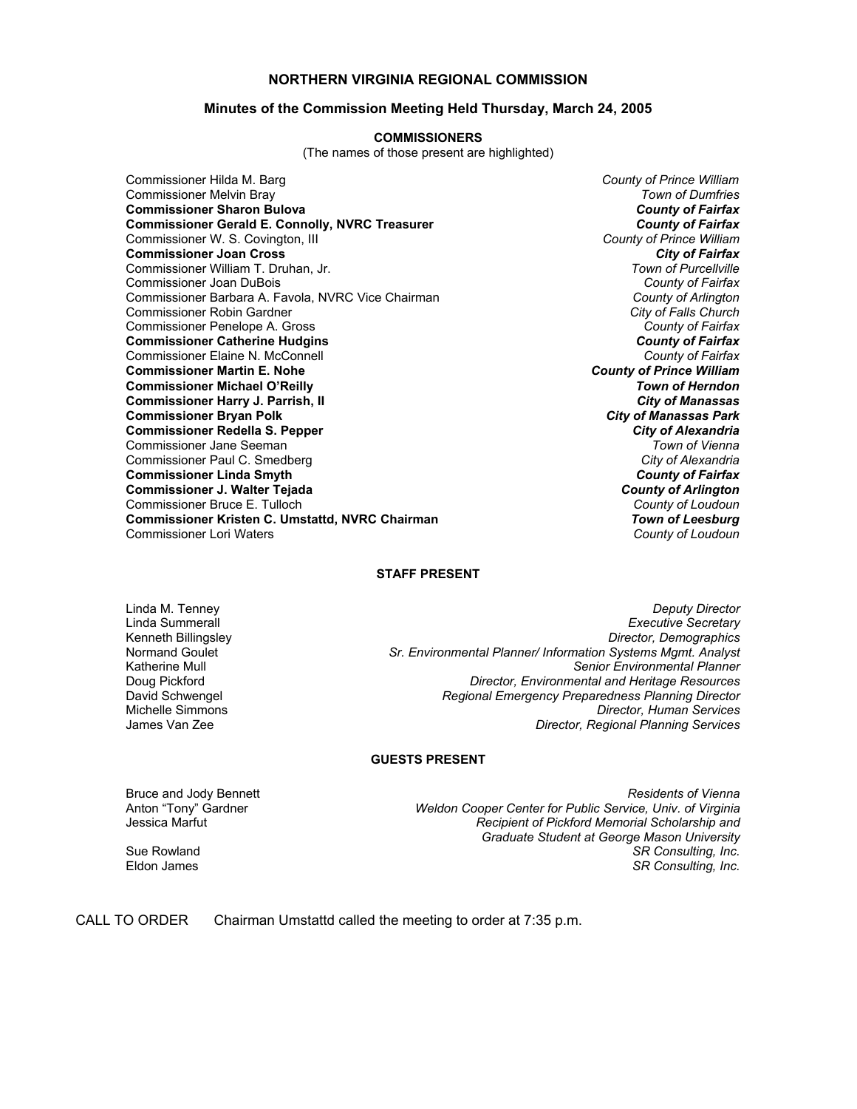## **NORTHERN VIRGINIA REGIONAL COMMISSION**

#### **Minutes of the Commission Meeting Held Thursday, March 24, 2005**

#### **COMMISSIONERS**

(The names of those present are highlighted)

Commissioner Hilda M. Barg *County of Prince William* Commissioner Melvin Bray *Town of Dumfries* **Commissioner Sharon Bulova** *County of Fairfax* **Commissioner Gerald E. Connolly, NVRC Treasurer** *Commissioner County of Fairfax***<br>Commissioner W. S. Covington, III and Treasurer** *and Treasurer and County of Prince William* Commissioner W. S. Covington, III *County of Prince William* **Commissioner Joan Cross** *City of Fairfax* Commissioner William T. Druhan, Jr. *Town of Purcellville* Commissioner Joan DuBois *County of Fairfax* Commissioner Barbara A. Favola, NVRC Vice Chairman *County of Arlington* Commissioner Robin Gardner *City of Falls Church* Commissioner Penelope A. Gross *County of Fairfax* **Commissioner Catherine Hudgins** *County of Fairfax* Commissioner Elaine N. McConnell *County of Fairfax* **Commissioner Martin E. Nohe** *County of Prince William* **Commissioner Michael O'Reilly** *Town of Herndon* **Commissioner Harry J. Parrish, II** *City of Manassas* **Commissioner Bryan Polk** *City of Manassas Park* **Commissioner Redella S. Pepper** Commissioner Jane Seeman *Town of Vienna* Commissioner Paul C. Smedberg **Commissioner Linda Smyth** *County of Fairfax* **Commissioner J. Walter Tejada** *County of Arlington* Commissioner Bruce E. Tulloch *County of Loudoun* **Commissioner Kristen C. Umstattd, NVRC Chairman** *Town of Leesburg* Commissioner Lori Waters *County of Loudoun*

#### **STAFF PRESENT**

Linda M. Tenney *Deputy Director* **Executive Secretary** Kenneth Billingsley *Director, Demographics* Normand Goulet *Sr. Environmental Planner/ Information Systems Mgmt. Analyst* Katherine Mull *Senior Environmental Planner* Doug Pickford *Director, Environmental and Heritage Resources* David Schwengel *Regional Emergency Preparedness Planning Director* **Director, Human Services** James Van Zee *Director, Regional Planning Services*

### **GUESTS PRESENT**

Bruce and Jody Bennett *Residents of Vienna* Anton "Tony" Gardner *Weldon Cooper Center for Public Service, Univ. of Virginia* Recipient of Pickford Memorial Scholarship and *Graduate Student at George Mason University* Sue Rowland *SR Consulting, Inc.*  $SR$  Consulting, Inc.

CALL TO ORDER Chairman Umstattd called the meeting to order at 7:35 p.m.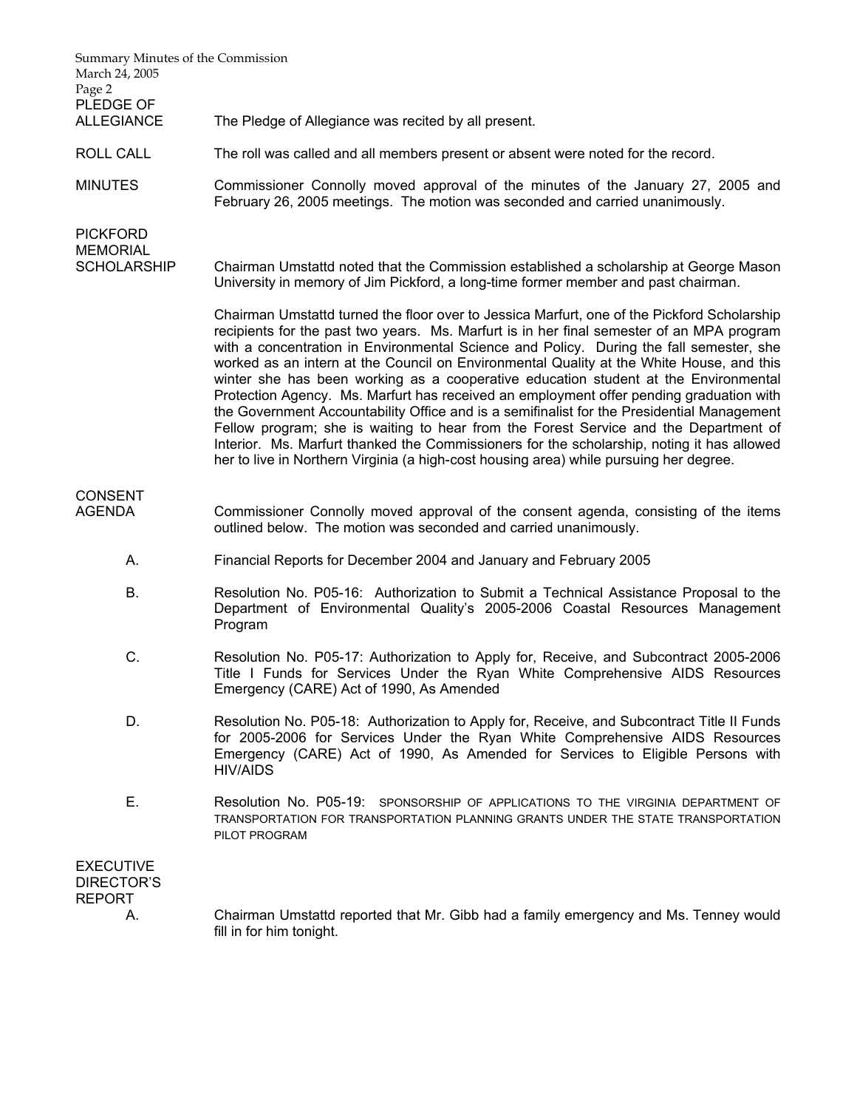| Summary Minutes of the Commission<br>March 24, 2005<br>Page 2<br>PLEDGE OF |                                                                                                                                                                                                                                                                                                                                                                                                                                                                                                                                                                                                                                                                                                                                                                                                                                                                                                                                                 |
|----------------------------------------------------------------------------|-------------------------------------------------------------------------------------------------------------------------------------------------------------------------------------------------------------------------------------------------------------------------------------------------------------------------------------------------------------------------------------------------------------------------------------------------------------------------------------------------------------------------------------------------------------------------------------------------------------------------------------------------------------------------------------------------------------------------------------------------------------------------------------------------------------------------------------------------------------------------------------------------------------------------------------------------|
| <b>ALLEGIANCE</b>                                                          | The Pledge of Allegiance was recited by all present.                                                                                                                                                                                                                                                                                                                                                                                                                                                                                                                                                                                                                                                                                                                                                                                                                                                                                            |
| <b>ROLL CALL</b>                                                           | The roll was called and all members present or absent were noted for the record.                                                                                                                                                                                                                                                                                                                                                                                                                                                                                                                                                                                                                                                                                                                                                                                                                                                                |
| <b>MINUTES</b>                                                             | Commissioner Connolly moved approval of the minutes of the January 27, 2005 and<br>February 26, 2005 meetings. The motion was seconded and carried unanimously.                                                                                                                                                                                                                                                                                                                                                                                                                                                                                                                                                                                                                                                                                                                                                                                 |
| <b>PICKFORD</b><br><b>MEMORIAL</b>                                         |                                                                                                                                                                                                                                                                                                                                                                                                                                                                                                                                                                                                                                                                                                                                                                                                                                                                                                                                                 |
| <b>SCHOLARSHIP</b>                                                         | Chairman Umstattd noted that the Commission established a scholarship at George Mason<br>University in memory of Jim Pickford, a long-time former member and past chairman.                                                                                                                                                                                                                                                                                                                                                                                                                                                                                                                                                                                                                                                                                                                                                                     |
|                                                                            | Chairman Umstattd turned the floor over to Jessica Marfurt, one of the Pickford Scholarship<br>recipients for the past two years. Ms. Marfurt is in her final semester of an MPA program<br>with a concentration in Environmental Science and Policy. During the fall semester, she<br>worked as an intern at the Council on Environmental Quality at the White House, and this<br>winter she has been working as a cooperative education student at the Environmental<br>Protection Agency. Ms. Marfurt has received an employment offer pending graduation with<br>the Government Accountability Office and is a semifinalist for the Presidential Management<br>Fellow program; she is waiting to hear from the Forest Service and the Department of<br>Interior. Ms. Marfurt thanked the Commissioners for the scholarship, noting it has allowed<br>her to live in Northern Virginia (a high-cost housing area) while pursuing her degree. |
| <b>CONSENT</b><br><b>AGENDA</b>                                            | Commissioner Connolly moved approval of the consent agenda, consisting of the items<br>outlined below. The motion was seconded and carried unanimously.                                                                                                                                                                                                                                                                                                                                                                                                                                                                                                                                                                                                                                                                                                                                                                                         |
| А.                                                                         | Financial Reports for December 2004 and January and February 2005                                                                                                                                                                                                                                                                                                                                                                                                                                                                                                                                                                                                                                                                                                                                                                                                                                                                               |
| <b>B.</b>                                                                  | Resolution No. P05-16: Authorization to Submit a Technical Assistance Proposal to the<br>Department of Environmental Quality's 2005-2006 Coastal Resources Management<br>Program                                                                                                                                                                                                                                                                                                                                                                                                                                                                                                                                                                                                                                                                                                                                                                |
| C.                                                                         | Resolution No. P05-17: Authorization to Apply for, Receive, and Subcontract 2005-2006<br>Title I Funds for Services Under the Ryan White Comprehensive AIDS Resources<br>Emergency (CARE) Act of 1990, As Amended                                                                                                                                                                                                                                                                                                                                                                                                                                                                                                                                                                                                                                                                                                                               |
| D.                                                                         | Resolution No. P05-18: Authorization to Apply for, Receive, and Subcontract Title II Funds<br>for 2005-2006 for Services Under the Ryan White Comprehensive AIDS Resources<br>Emergency (CARE) Act of 1990, As Amended for Services to Eligible Persons with<br><b>HIV/AIDS</b>                                                                                                                                                                                                                                                                                                                                                                                                                                                                                                                                                                                                                                                                 |
| Ε.                                                                         | Resolution No. P05-19: SPONSORSHIP OF APPLICATIONS TO THE VIRGINIA DEPARTMENT OF<br>TRANSPORTATION FOR TRANSPORTATION PLANNING GRANTS UNDER THE STATE TRANSPORTATION<br>PILOT PROGRAM                                                                                                                                                                                                                                                                                                                                                                                                                                                                                                                                                                                                                                                                                                                                                           |
| <b>EXECUTIVE</b><br><b>DIRECTOR'S</b><br><b>REPORT</b>                     |                                                                                                                                                                                                                                                                                                                                                                                                                                                                                                                                                                                                                                                                                                                                                                                                                                                                                                                                                 |
| А.                                                                         | Chairman Umstattd reported that Mr. Gibb had a family emergency and Ms. Tenney would<br>fill in for him tonight.                                                                                                                                                                                                                                                                                                                                                                                                                                                                                                                                                                                                                                                                                                                                                                                                                                |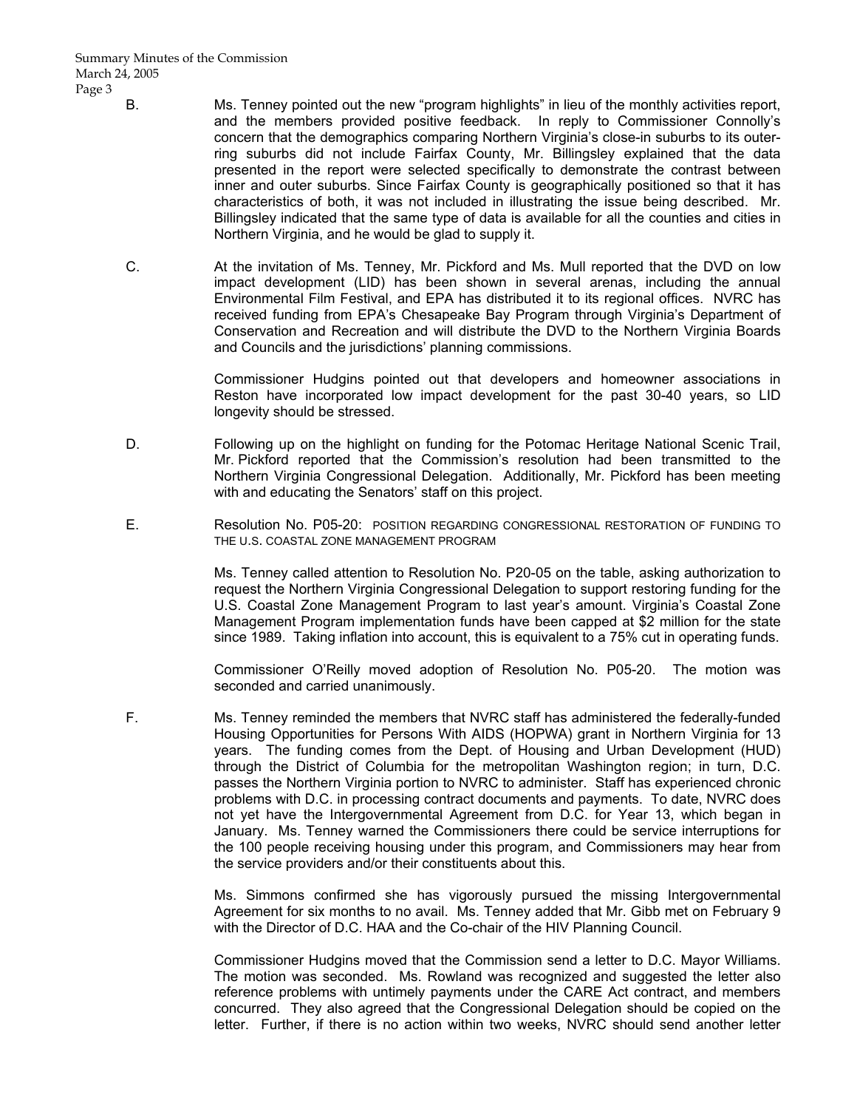- B. Ms. Tenney pointed out the new "program highlights" in lieu of the monthly activities report, and the members provided positive feedback. In reply to Commissioner Connolly's concern that the demographics comparing Northern Virginia's close-in suburbs to its outerring suburbs did not include Fairfax County, Mr. Billingsley explained that the data presented in the report were selected specifically to demonstrate the contrast between inner and outer suburbs. Since Fairfax County is geographically positioned so that it has characteristics of both, it was not included in illustrating the issue being described. Mr. Billingsley indicated that the same type of data is available for all the counties and cities in Northern Virginia, and he would be glad to supply it.
- C. At the invitation of Ms. Tenney, Mr. Pickford and Ms. Mull reported that the DVD on low impact development (LID) has been shown in several arenas, including the annual Environmental Film Festival, and EPA has distributed it to its regional offices. NVRC has received funding from EPA's Chesapeake Bay Program through Virginia's Department of Conservation and Recreation and will distribute the DVD to the Northern Virginia Boards and Councils and the jurisdictions' planning commissions.

 Commissioner Hudgins pointed out that developers and homeowner associations in Reston have incorporated low impact development for the past 30-40 years, so LID longevity should be stressed.

- D. Following up on the highlight on funding for the Potomac Heritage National Scenic Trail, Mr. Pickford reported that the Commission's resolution had been transmitted to the Northern Virginia Congressional Delegation. Additionally, Mr. Pickford has been meeting with and educating the Senators' staff on this project.
- E. Resolution No. P05-20: POSITION REGARDING CONGRESSIONAL RESTORATION OF FUNDING TO THE U.S. COASTAL ZONE MANAGEMENT PROGRAM

 Ms. Tenney called attention to Resolution No. P20-05 on the table, asking authorization to request the Northern Virginia Congressional Delegation to support restoring funding for the U.S. Coastal Zone Management Program to last year's amount. Virginia's Coastal Zone Management Program implementation funds have been capped at \$2 million for the state since 1989. Taking inflation into account, this is equivalent to a 75% cut in operating funds.

 Commissioner O'Reilly moved adoption of Resolution No. P05-20. The motion was seconded and carried unanimously.

 F. Ms. Tenney reminded the members that NVRC staff has administered the federally-funded Housing Opportunities for Persons With AIDS (HOPWA) grant in Northern Virginia for 13 years. The funding comes from the Dept. of Housing and Urban Development (HUD) through the District of Columbia for the metropolitan Washington region; in turn, D.C. passes the Northern Virginia portion to NVRC to administer. Staff has experienced chronic problems with D.C. in processing contract documents and payments. To date, NVRC does not yet have the Intergovernmental Agreement from D.C. for Year 13, which began in January. Ms. Tenney warned the Commissioners there could be service interruptions for the 100 people receiving housing under this program, and Commissioners may hear from the service providers and/or their constituents about this.

> Ms. Simmons confirmed she has vigorously pursued the missing Intergovernmental Agreement for six months to no avail. Ms. Tenney added that Mr. Gibb met on February 9 with the Director of D.C. HAA and the Co-chair of the HIV Planning Council.

> Commissioner Hudgins moved that the Commission send a letter to D.C. Mayor Williams. The motion was seconded. Ms. Rowland was recognized and suggested the letter also reference problems with untimely payments under the CARE Act contract, and members concurred. They also agreed that the Congressional Delegation should be copied on the letter. Further, if there is no action within two weeks, NVRC should send another letter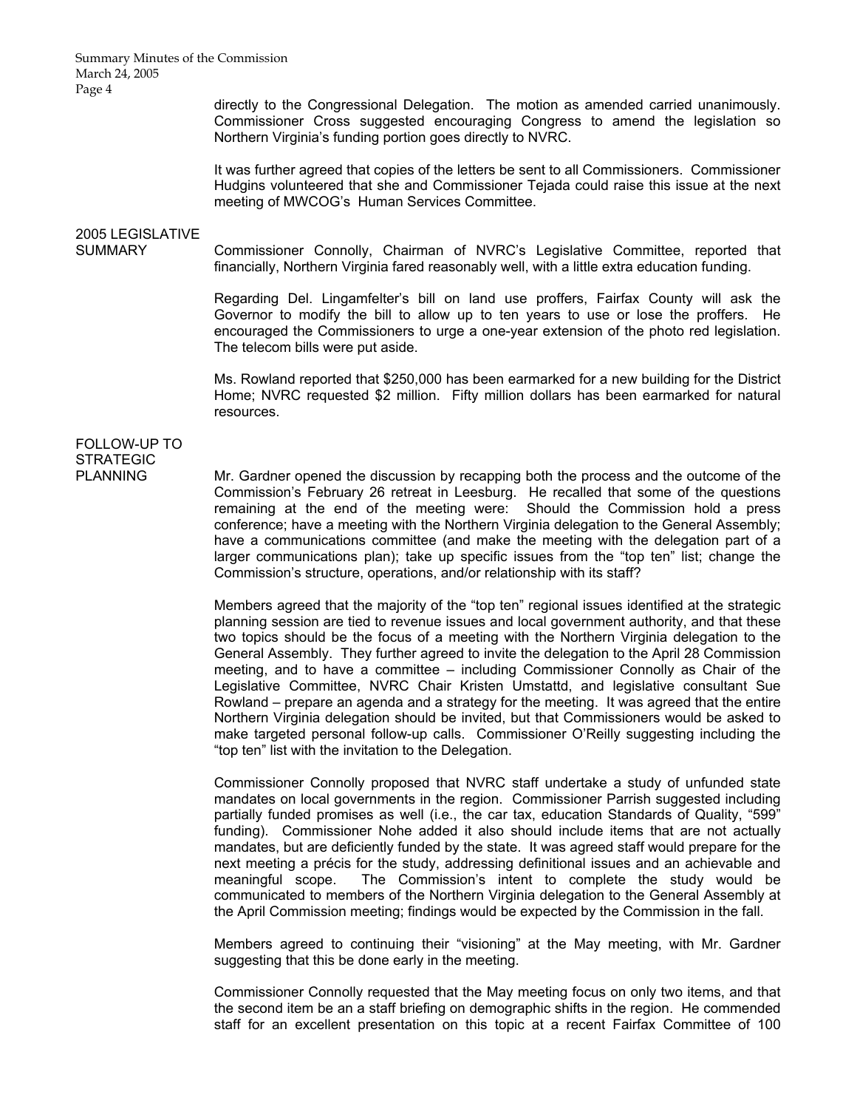Summary Minutes of the Commission March 24, 2005 Page 4

> directly to the Congressional Delegation. The motion as amended carried unanimously. Commissioner Cross suggested encouraging Congress to amend the legislation so Northern Virginia's funding portion goes directly to NVRC.

> It was further agreed that copies of the letters be sent to all Commissioners. Commissioner Hudgins volunteered that she and Commissioner Tejada could raise this issue at the next meeting of MWCOG's Human Services Committee.

# 2005 LEGISLATIVE

SUMMARY Commissioner Connolly, Chairman of NVRC's Legislative Committee, reported that financially, Northern Virginia fared reasonably well, with a little extra education funding.

> Regarding Del. Lingamfelter's bill on land use proffers, Fairfax County will ask the Governor to modify the bill to allow up to ten years to use or lose the proffers. He encouraged the Commissioners to urge a one-year extension of the photo red legislation. The telecom bills were put aside.

> Ms. Rowland reported that \$250,000 has been earmarked for a new building for the District Home; NVRC requested \$2 million. Fifty million dollars has been earmarked for natural resources.

## FOLLOW-UP TO **STRATEGIC**

PLANNING Mr. Gardner opened the discussion by recapping both the process and the outcome of the Commission's February 26 retreat in Leesburg. He recalled that some of the questions remaining at the end of the meeting were: Should the Commission hold a press conference; have a meeting with the Northern Virginia delegation to the General Assembly; have a communications committee (and make the meeting with the delegation part of a larger communications plan); take up specific issues from the "top ten" list; change the Commission's structure, operations, and/or relationship with its staff?

> Members agreed that the majority of the "top ten" regional issues identified at the strategic planning session are tied to revenue issues and local government authority, and that these two topics should be the focus of a meeting with the Northern Virginia delegation to the General Assembly. They further agreed to invite the delegation to the April 28 Commission meeting, and to have a committee – including Commissioner Connolly as Chair of the Legislative Committee, NVRC Chair Kristen Umstattd, and legislative consultant Sue Rowland – prepare an agenda and a strategy for the meeting. It was agreed that the entire Northern Virginia delegation should be invited, but that Commissioners would be asked to make targeted personal follow-up calls. Commissioner O'Reilly suggesting including the "top ten" list with the invitation to the Delegation.

> Commissioner Connolly proposed that NVRC staff undertake a study of unfunded state mandates on local governments in the region. Commissioner Parrish suggested including partially funded promises as well (i.e., the car tax, education Standards of Quality, "599" funding). Commissioner Nohe added it also should include items that are not actually mandates, but are deficiently funded by the state. It was agreed staff would prepare for the next meeting a précis for the study, addressing definitional issues and an achievable and meaningful scope. The Commission's intent to complete the study would be communicated to members of the Northern Virginia delegation to the General Assembly at the April Commission meeting; findings would be expected by the Commission in the fall.

> Members agreed to continuing their "visioning" at the May meeting, with Mr. Gardner suggesting that this be done early in the meeting.

> Commissioner Connolly requested that the May meeting focus on only two items, and that the second item be an a staff briefing on demographic shifts in the region. He commended staff for an excellent presentation on this topic at a recent Fairfax Committee of 100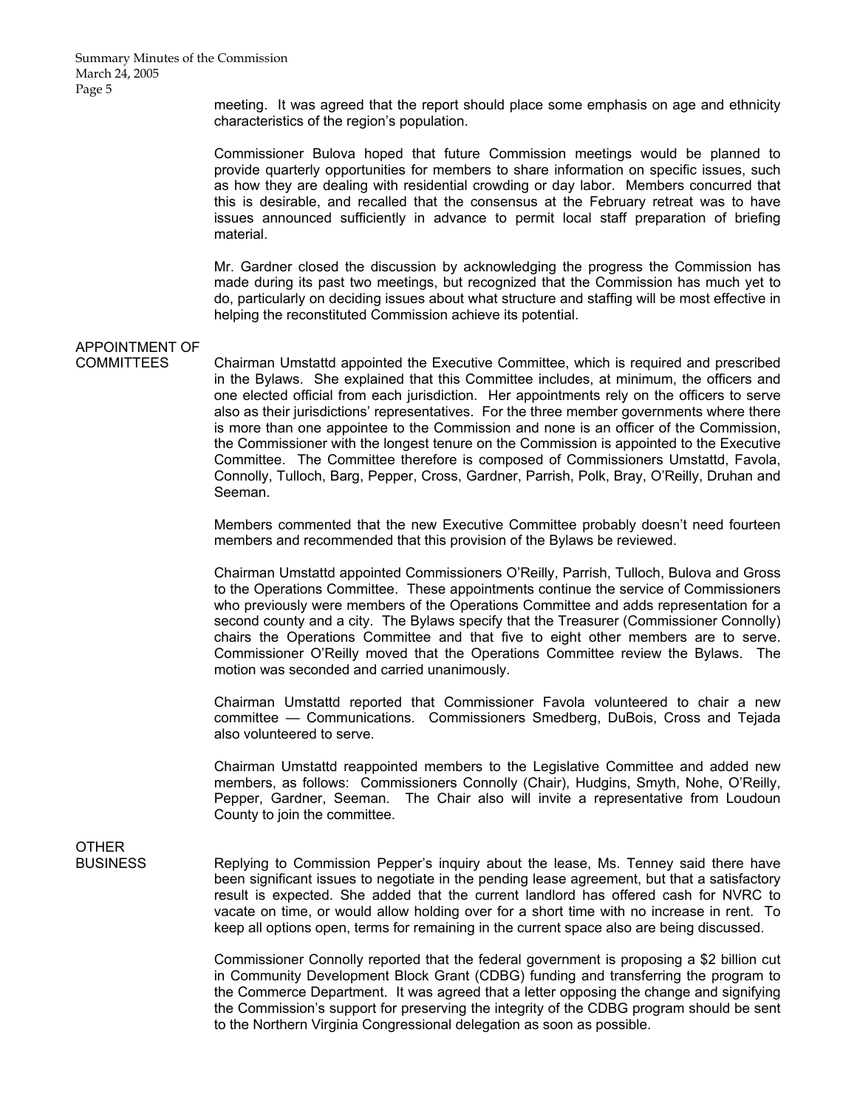meeting. It was agreed that the report should place some emphasis on age and ethnicity characteristics of the region's population.

 Commissioner Bulova hoped that future Commission meetings would be planned to provide quarterly opportunities for members to share information on specific issues, such as how they are dealing with residential crowding or day labor. Members concurred that this is desirable, and recalled that the consensus at the February retreat was to have issues announced sufficiently in advance to permit local staff preparation of briefing material.

 Mr. Gardner closed the discussion by acknowledging the progress the Commission has made during its past two meetings, but recognized that the Commission has much yet to do, particularly on deciding issues about what structure and staffing will be most effective in helping the reconstituted Commission achieve its potential.

## APPOINTMENT OF

COMMITTEES Chairman Umstattd appointed the Executive Committee, which is required and prescribed in the Bylaws. She explained that this Committee includes, at minimum, the officers and one elected official from each jurisdiction. Her appointments rely on the officers to serve also as their jurisdictions' representatives. For the three member governments where there is more than one appointee to the Commission and none is an officer of the Commission, the Commissioner with the longest tenure on the Commission is appointed to the Executive Committee. The Committee therefore is composed of Commissioners Umstattd, Favola, Connolly, Tulloch, Barg, Pepper, Cross, Gardner, Parrish, Polk, Bray, O'Reilly, Druhan and Seeman.

> Members commented that the new Executive Committee probably doesn't need fourteen members and recommended that this provision of the Bylaws be reviewed.

> Chairman Umstattd appointed Commissioners O'Reilly, Parrish, Tulloch, Bulova and Gross to the Operations Committee. These appointments continue the service of Commissioners who previously were members of the Operations Committee and adds representation for a second county and a city. The Bylaws specify that the Treasurer (Commissioner Connolly) chairs the Operations Committee and that five to eight other members are to serve. Commissioner O'Reilly moved that the Operations Committee review the Bylaws. The motion was seconded and carried unanimously.

> Chairman Umstattd reported that Commissioner Favola volunteered to chair a new committee — Communications. Commissioners Smedberg, DuBois, Cross and Tejada also volunteered to serve.

> Chairman Umstattd reappointed members to the Legislative Committee and added new members, as follows: Commissioners Connolly (Chair), Hudgins, Smyth, Nohe, O'Reilly, Pepper, Gardner, Seeman. The Chair also will invite a representative from Loudoun County to join the committee.

# **OTHER**

BUSINESS Replying to Commission Pepper's inquiry about the lease, Ms. Tenney said there have been significant issues to negotiate in the pending lease agreement, but that a satisfactory result is expected. She added that the current landlord has offered cash for NVRC to vacate on time, or would allow holding over for a short time with no increase in rent. To keep all options open, terms for remaining in the current space also are being discussed.

> Commissioner Connolly reported that the federal government is proposing a \$2 billion cut in Community Development Block Grant (CDBG) funding and transferring the program to the Commerce Department. It was agreed that a letter opposing the change and signifying the Commission's support for preserving the integrity of the CDBG program should be sent to the Northern Virginia Congressional delegation as soon as possible.